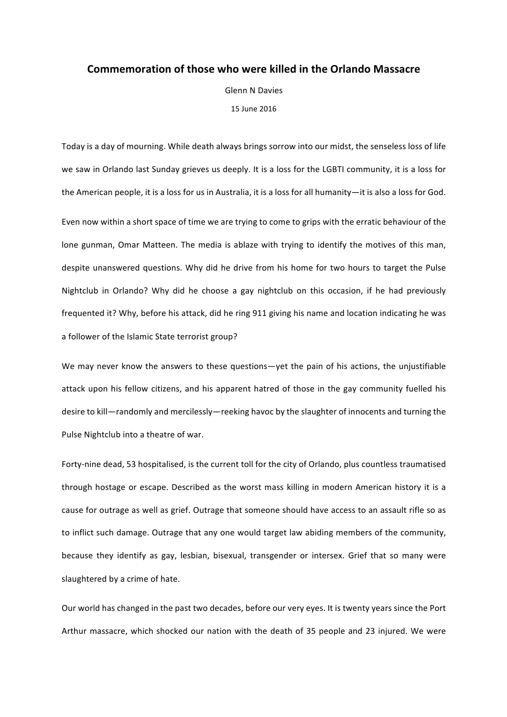## **Commemoration of those who were killed in the Orlando Massacre**

**Glenn N Davies** 

15 June 2016

Today is a day of mourning. While death always brings sorrow into our midst, the senseless loss of life we saw in Orlando last Sunday grieves us deeply. It is a loss for the LGBTI community, it is a loss for the American people, it is a loss for us in Australia, it is a loss for all humanity—it is also a loss for God.

Even now within a short space of time we are trying to come to grips with the erratic behaviour of the lone gunman, Omar Matteen. The media is ablaze with trying to identify the motives of this man, despite unanswered questions. Why did he drive from his home for two hours to target the Pulse Nightclub in Orlando? Why did he choose a gay nightclub on this occasion, if he had previously frequented it? Why, before his attack, did he ring 911 giving his name and location indicating he was a follower of the Islamic State terrorist group?

We may never know the answers to these questions—yet the pain of his actions, the unjustifiable attack upon his fellow citizens, and his apparent hatred of those in the gay community fuelled his desire to kill—randomly and mercilessly—reeking havoc by the slaughter of innocents and turning the Pulse Nightclub into a theatre of war.

Forty-nine dead, 53 hospitalised, is the current toll for the city of Orlando, plus countless traumatised through hostage or escape. Described as the worst mass killing in modern American history it is a cause for outrage as well as grief. Outrage that someone should have access to an assault rifle so as to inflict such damage. Outrage that any one would target law abiding members of the community, because they identify as gay, lesbian, bisexual, transgender or intersex. Grief that so many were slaughtered by a crime of hate.

Our world has changed in the past two decades, before our very eyes. It is twenty years since the Port Arthur massacre, which shocked our nation with the death of 35 people and 23 injured. We were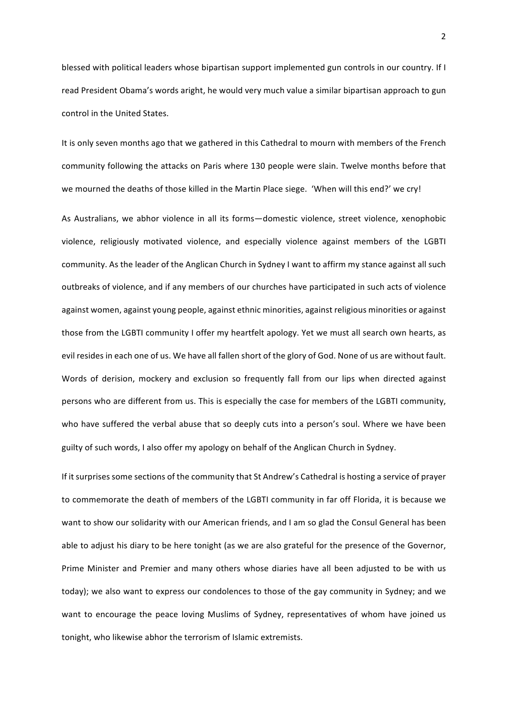blessed with political leaders whose bipartisan support implemented gun controls in our country. If I read President Obama's words aright, he would very much value a similar bipartisan approach to gun control in the United States.

It is only seven months ago that we gathered in this Cathedral to mourn with members of the French community following the attacks on Paris where 130 people were slain. Twelve months before that we mourned the deaths of those killed in the Martin Place siege. 'When will this end?' we cry!

As Australians, we abhor violence in all its forms—domestic violence, street violence, xenophobic violence, religiously motivated violence, and especially violence against members of the LGBTI community. As the leader of the Anglican Church in Sydney I want to affirm my stance against all such outbreaks of violence, and if any members of our churches have participated in such acts of violence against women, against young people, against ethnic minorities, against religious minorities or against those from the LGBTI community I offer my heartfelt apology. Yet we must all search own hearts, as evil resides in each one of us. We have all fallen short of the glory of God. None of us are without fault. Words of derision, mockery and exclusion so frequently fall from our lips when directed against persons who are different from us. This is especially the case for members of the LGBTI community, who have suffered the verbal abuse that so deeply cuts into a person's soul. Where we have been guilty of such words, I also offer my apology on behalf of the Anglican Church in Sydney.

If it surprises some sections of the community that St Andrew's Cathedral is hosting a service of prayer to commemorate the death of members of the LGBTI community in far off Florida, it is because we want to show our solidarity with our American friends, and I am so glad the Consul General has been able to adjust his diary to be here tonight (as we are also grateful for the presence of the Governor, Prime Minister and Premier and many others whose diaries have all been adjusted to be with us today); we also want to express our condolences to those of the gay community in Sydney; and we want to encourage the peace loving Muslims of Sydney, representatives of whom have joined us tonight, who likewise abhor the terrorism of Islamic extremists.